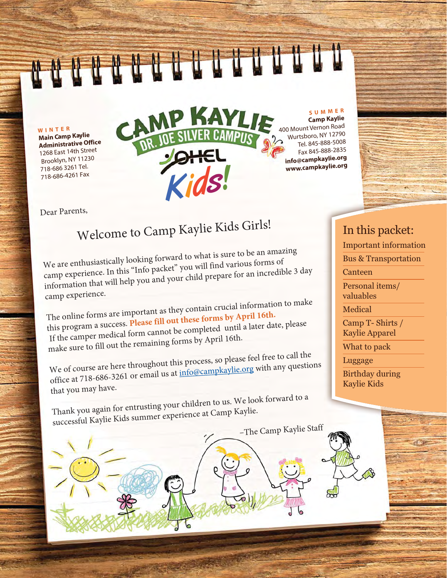**WINTER**

**Main Camp Kaylie Administrative Office** 1268 East 14th Street Brooklyn, NY 112 718-686 3261 Tel. 718-686-4261 Fax

# MP KAYLIF CAI Kids!

**SUMMER**

**Camp Kaylie**  400 Mount Vernon Road Wurtsboro, NY 12790 Tel. 845-888-5008 Fax 845-888-2835 **info@campkaylie.org www.campkaylie.org**

Dear Parents,

## Welcome to Camp Kaylie Kids Girls!

We are enthusiastically looking forward to what is sure to be an amazing camp experience. In this "Info packet" you will find various forms of information that will help you and your child prepare for an incredible 3 day camp experience.

The online forms are important as they contain crucial information to make this program a success. Please fill out these forms by April 16th. If the camper medical form cannot be completed until a later date, please make sure to fill out the remaining forms by April 16th.

We of course are here throughout this process, so please feel free to call the office at 718-686-3261 or email us at info@campkaylie.org with any questions that you may have.

Thank you again for entrusting your children to us. We look forward to a successful Kaylie Kids summer experience at Camp Kaylie. -The Camp Kaylie Staff

#### In this packet:

Important information

Bus & Transportation

Canteen

Personal items/ valuables

Medical

Camp T- Shirts / Kaylie Apparel

What to pack

Luggage

Birthday during Kaylie Kids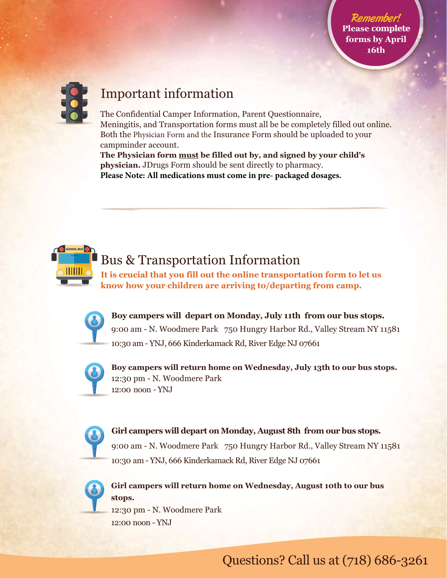

#### Important information

The Confidential Camper Information, Parent Questionnaire, Meningitis, and Transportation forms must all be be completely filled out online. Both the Physician Form and the Insurance Form should be uploaded to your campminder account.

**The Physician form must be filled out by, and signed by your child's physician.** JDrugs Form should be sent directly to pharmacy. **Please Note: All medications must come in pre- packaged dosages.**



#### **Bus & Transportation Information**

It is crucial that you fill out the online transportation form to let us know how your children are arriving to/departing from camp.



**Boy campers will depart on Monday, July 11th from our bus stops.** 9:00 am - N. Woodmere Park 750 Hungry Harbor Rd., Valley Stream NY 11581 10:30 am - YNJ, 666 Kinderkamack Rd, River Edge NJ 07661



Boy campers will return home on Wednesday, July 13<sup>th</sup> to our bus stops. 12:30 pm - N. Woodmere Park 12:00 noon - YNJ



**Girl campers will depart on Monday, August 8th from our bus stops.** 9:00 am - N. Woodmere Park 750 Hungry Harbor Rd., Valley Stream NY 11581 10:30 am - YNJ, 666 Kinderkamack Rd, River Edge NJ 07661



**Girl campers will return home on Wednesday, August 10th to our bus stops.**

12:30 pm - N. Woodmere Park 12:00 noon - YNJ

Questions? Call us at (718) 686-3261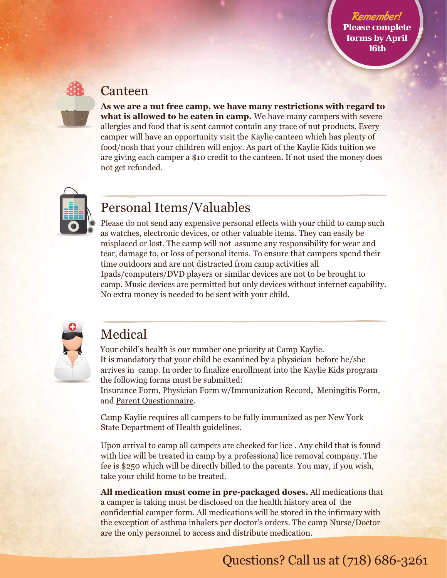#### **Canteen**

As we are a nut free camp, we have many restrictions with regard to what is allowed to be eaten in camp. We have many campers with severe allergies and food that is sent cannot contain any trace of nut products. Every camper will have an opportunity visit the Kaylie canteen which has plenty of food/nosh that your children will enjoy. As part of the Kaylie Kids tuition we are giving each camper a \$10 credit to the canteen. If not used the money does not get refunded.



### Personal Items/Valuables

Please do not send any expensive personal effects with your child to camp such as watches, electronic devices, or other valuable items. They can easily be misplaced or lost. The camp will not assume any responsibility for wear and tear, damage to, or loss of personal items. To ensure that campers spend their time outdoors and are not distracted from camp activities all Ipads/computers/DVD players or similar devices are not to be brought to camp. Music devices are permitted but only devices without internet capability. No extra money is needed to be sent with your child.



#### Medical

Your child's health is our number one priority at Camp Kaylie. It is mandatory that your child be examined by a physician before he/she arrives in camp. In order to finalize enrollment into the Kaylie Kids program the following forms must be submitted:

Insurance Form, Physician Form w/Immunization Record, Meningitis Form, and Parent Questionnaire.

Camp Kaylie requires all campers to be fully immunized as per New York State Department of Health guidelines.

Upon arrival to camp all campers are checked for lice . Any child that is found with lice will be treated in camp by a professional lice removal company. The fee is \$250 which will be directly billed to the parents. You may, if you wish, take your child home to be treated.

All medication must come in pre-packaged doses. All medications that a camper is taking must be disclosed on the health history area of the confidential camper form. All medications will be stored in the infirmary with the exception of asthma inhalers per doctor's orders. The camp Nurse/Doctor are the only personnel to access and distribute medication.

## Questions? Call us at (718) 686-3261